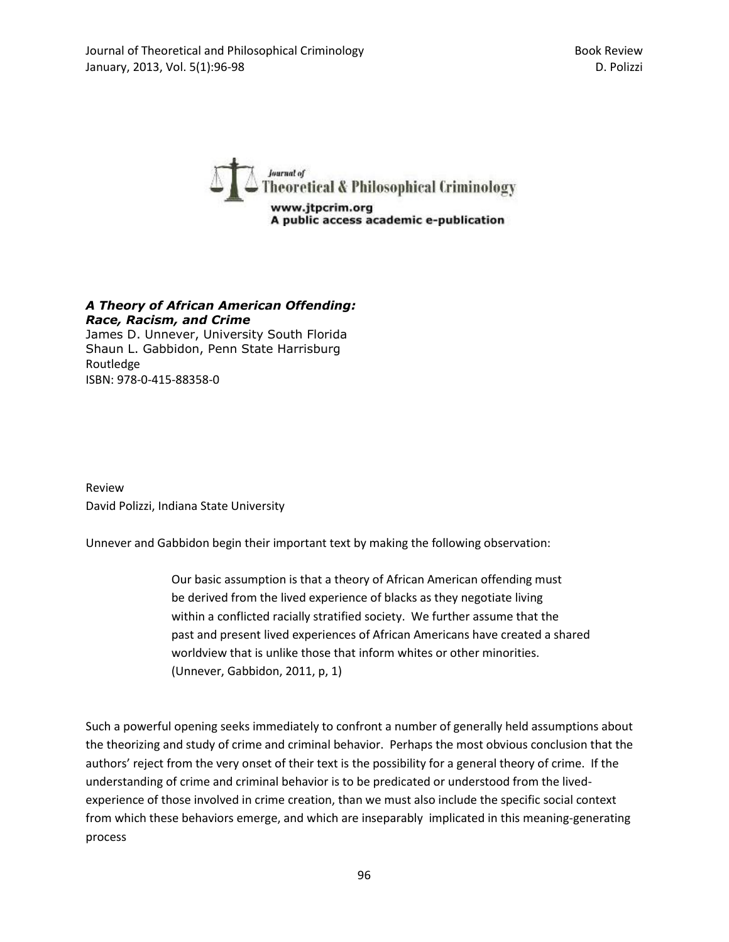

## *A Theory of African American Offending: Race, Racism, and Crime*

James D. Unnever, University South Florida Shaun L. Gabbidon, Penn State Harrisburg Routledge ISBN: 978-0-415-88358-0

Review David Polizzi, Indiana State University

Unnever and Gabbidon begin their important text by making the following observation:

Our basic assumption is that a theory of African American offending must be derived from the lived experience of blacks as they negotiate living within a conflicted racially stratified society. We further assume that the past and present lived experiences of African Americans have created a shared worldview that is unlike those that inform whites or other minorities. (Unnever, Gabbidon, 2011, p, 1)

Such a powerful opening seeks immediately to confront a number of generally held assumptions about the theorizing and study of crime and criminal behavior. Perhaps the most obvious conclusion that the authors' reject from the very onset of their text is the possibility for a general theory of crime. If the understanding of crime and criminal behavior is to be predicated or understood from the livedexperience of those involved in crime creation, than we must also include the specific social context from which these behaviors emerge, and which are inseparably implicated in this meaning-generating process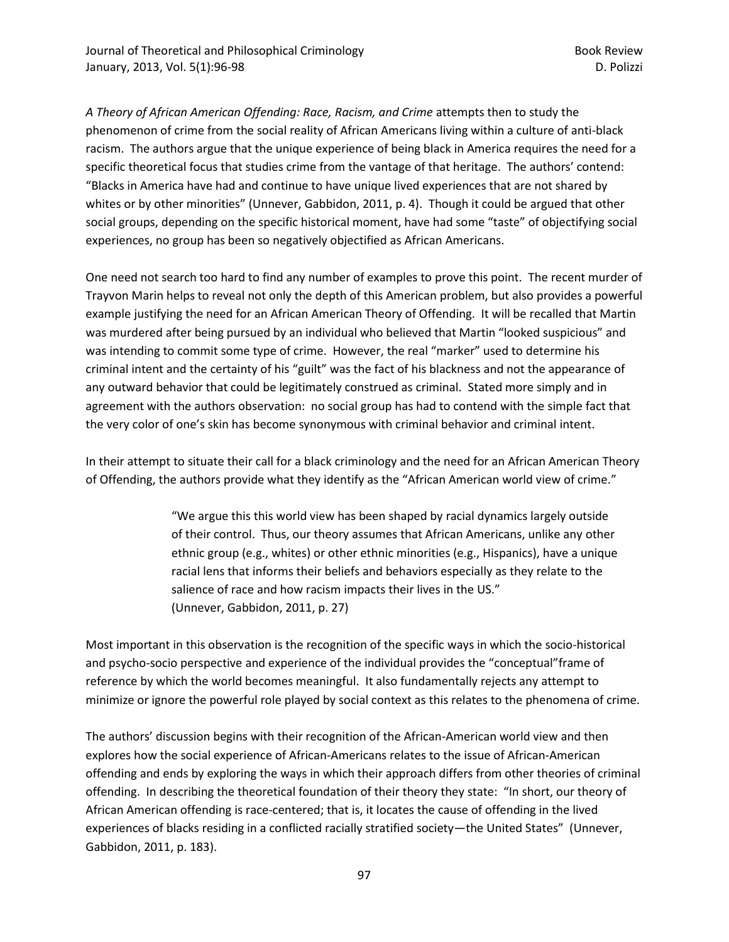*A Theory of African American Offending: Race, Racism, and Crime* attempts then to study the phenomenon of crime from the social reality of African Americans living within a culture of anti-black racism. The authors argue that the unique experience of being black in America requires the need for a specific theoretical focus that studies crime from the vantage of that heritage. The authors' contend: "Blacks in America have had and continue to have unique lived experiences that are not shared by whites or by other minorities" (Unnever, Gabbidon, 2011, p. 4). Though it could be argued that other social groups, depending on the specific historical moment, have had some "taste" of objectifying social experiences, no group has been so negatively objectified as African Americans.

One need not search too hard to find any number of examples to prove this point. The recent murder of Trayvon Marin helps to reveal not only the depth of this American problem, but also provides a powerful example justifying the need for an African American Theory of Offending. It will be recalled that Martin was murdered after being pursued by an individual who believed that Martin "looked suspicious" and was intending to commit some type of crime. However, the real "marker" used to determine his criminal intent and the certainty of his "guilt" was the fact of his blackness and not the appearance of any outward behavior that could be legitimately construed as criminal. Stated more simply and in agreement with the authors observation: no social group has had to contend with the simple fact that the very color of one's skin has become synonymous with criminal behavior and criminal intent.

In their attempt to situate their call for a black criminology and the need for an African American Theory of Offending, the authors provide what they identify as the "African American world view of crime."

> "We argue this this world view has been shaped by racial dynamics largely outside of their control. Thus, our theory assumes that African Americans, unlike any other ethnic group (e.g., whites) or other ethnic minorities (e.g., Hispanics), have a unique racial lens that informs their beliefs and behaviors especially as they relate to the salience of race and how racism impacts their lives in the US." (Unnever, Gabbidon, 2011, p. 27)

Most important in this observation is the recognition of the specific ways in which the socio-historical and psycho-socio perspective and experience of the individual provides the "conceptual"frame of reference by which the world becomes meaningful. It also fundamentally rejects any attempt to minimize or ignore the powerful role played by social context as this relates to the phenomena of crime.

The authors' discussion begins with their recognition of the African-American world view and then explores how the social experience of African-Americans relates to the issue of African-American offending and ends by exploring the ways in which their approach differs from other theories of criminal offending. In describing the theoretical foundation of their theory they state: "In short, our theory of African American offending is race-centered; that is, it locates the cause of offending in the lived experiences of blacks residing in a conflicted racially stratified society—the United States" (Unnever, Gabbidon, 2011, p. 183).